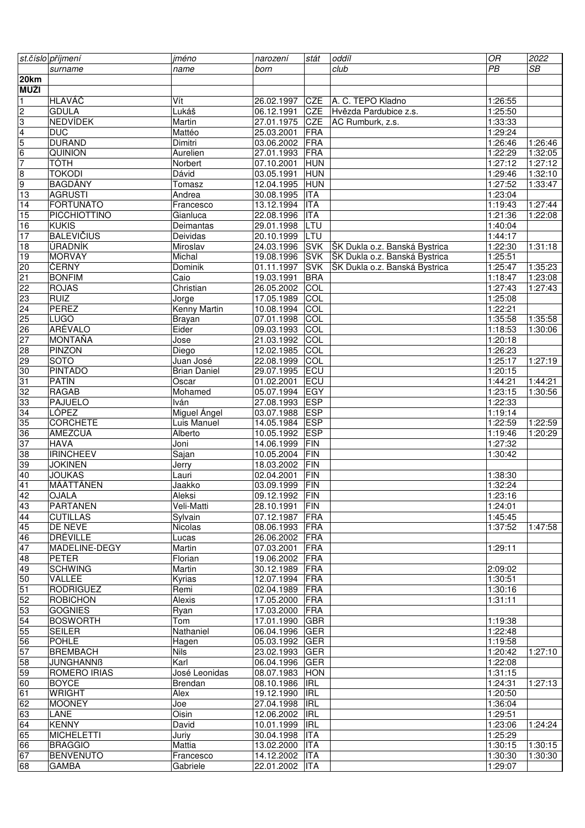|                | st.číslo příjmení                  | jméno               | narození       | stát                     | oddíl                         | $\overline{OR}$ | 2022            |
|----------------|------------------------------------|---------------------|----------------|--------------------------|-------------------------------|-----------------|-----------------|
|                | surname                            | name                | born           |                          | club                          | $\overline{PB}$ | $\overline{SB}$ |
| 20km           |                                    |                     |                |                          |                               |                 |                 |
| MUŽI           |                                    |                     |                |                          |                               |                 |                 |
| $\vert$ 1      | <b>HLAVÁČ</b>                      | Vít                 | 26.02.1997     | CZE                      | A. C. TEPO Kladno             | 1:26:55         |                 |
| $\overline{c}$ | <b>GDULA</b>                       | Lukáš               | 06.12.1991     | CZE                      | Hvězda Pardubice z.s.         | 1:25:50         |                 |
| သ              | <b>NEDVÍDEK</b>                    | Martin              | 27.01.1975     | <b>CZE</b>               | AC Rumburk, z.s.              | 1:33:33         |                 |
|                | <b>DUC</b>                         | Mattéo              | 25.03.2001     | FRA                      |                               | 1:29:24         |                 |
|                | <b>DURAND</b>                      | Dimitri             | 03.06.2002     | FRA                      |                               | 1:26:46         | 1:26:46         |
| $\frac{4}{5}$  | QUINION                            | Aurelien            | 27.01.1993     | FRA                      |                               | 1:22:29         | 1:32:05         |
| $\overline{7}$ | <b>TÓTH</b>                        | Norbert             | 07.10.2001     | <b>HUN</b>               |                               | 1:27:12         | 1:27:12         |
|                | <b>TOKODI</b>                      | Dávid               | 03.05.1991     | <b>HUN</b>               |                               | 1:29:46         | 1:32:10         |
| ္တာ တ          | <b>BAGDÁNY</b>                     |                     | 12.04.1995     | <b>HUN</b>               |                               | 1:27:52         | 1:33:47         |
|                |                                    | Tomasz              |                |                          |                               |                 |                 |
| 13             | <b>AGRUSTI</b><br><b>FORTUNATO</b> | Andrea              | 30.08.1995     | <b>ITA</b><br><b>ITA</b> |                               | 1:23:04         | 1:27:44         |
| 14             |                                    | Francesco           | 13.12.1994     |                          |                               | 1:19:43         |                 |
| 15             | PICCHIOTTINO                       | Gianluca            | 22.08.1996     | <b>ITA</b>               |                               | 1:21:36         | 1:22:08         |
| 16             | <b>KUKIS</b>                       | Deimantas           | 29.01.1998     | LTU                      |                               | 1:40:04         |                 |
| 17             | <b>BALEVIČIUS</b>                  | Deividas            | 20.10.1999     | LTU                      |                               | 1:44:17         |                 |
| 18             | ÚRADNÍK                            | Miroslav            | 24.03.1996     | <b>SVK</b>               | ŠK Dukla o.z. Banská Bystrica | 1:22:30         | 1:31:18         |
| 19             | <b>MORVAY</b>                      | Michal              | 19.08.1996     | <b>SVK</b>               | ŠK Dukla o.z. Banská Bystrica | 1:25:51         |                 |
| 20             | ČERNÝ                              | <b>Dominik</b>      | 01.11.1997     | <b>SVK</b>               | ŠK Dukla o.z. Banská Bystrica | 1:25:47         | 1:35:23         |
| 21             | <b>BONFIM</b>                      | Caio                | 19.03.1991     | <b>BRA</b>               |                               | 1:18:47         | 1:23:08         |
| 22             | <b>ROJAS</b>                       | Christian           | 26.05.2002     | COL                      |                               | 1:27:43         | 1:27:43         |
| 23             | <b>RUIZ</b>                        | Jorge               | 17.05.1989     | COL                      |                               | 1:25:08         |                 |
| 24             | <b>PEREZ</b>                       | <b>Kenny Martin</b> | 10.08.1994     | $\overline{COL}$         |                               | 1:22:21         |                 |
| 25             | <b>LUGO</b>                        | <b>Brayan</b>       | 07.01.1998     | COL                      |                               | 1:35:58         | 1:35:58         |
| 26             | <b>ARÉVALO</b>                     | Eider               | 09.03.1993     | COL                      |                               | 1:18:53         | 1:30:06         |
| 27             | <b>MONTAŇA</b>                     | Jose                | 21.03.1992     | COL                      |                               | 1:20:18         |                 |
| 28             | <b>PINZON</b>                      | Diego               | 12.02.1985     | COL                      |                               | 1:26:23         |                 |
| 29             | SOTO                               | Juan José           | 22.08.1999     | COL                      |                               | 1:25:17         | 1:27:19         |
| 30             | <b>PINTADO</b>                     | <b>Brian Daniel</b> | 29.07.1995     | ECU                      |                               | 1:20:15         |                 |
| 31             | <b>PATÍN</b>                       | Oscar               | 01.02.2001     | ECU                      |                               | 1:44:21         | 1:44:21         |
| 32             | <b>RAGAB</b>                       | Mohamed             | 05.07.1994     | EGY                      |                               | 1:23:15         | 1:30:56         |
| 33             | PAJUELO                            | Iván                | 27.08.1993     | ESP                      |                               | 1:22:33         |                 |
| 34             | <b>LÓPEZ</b>                       | Miguel Ángel        | 03.07.1988     | <b>ESP</b>               |                               | 1:19:14         |                 |
| 35             | <b>CORCHETE</b>                    | Luis Manuel         | 14.05.1984     | <b>ESP</b>               |                               | 1:22:59         | 1:22:59         |
| 36             | AMEZCUA                            | Alberto             | 10.05.1992     | <b>ESP</b>               |                               | 1:19:46         | 1:20:29         |
| 37             | <b>HAVA</b>                        | Joni                | 14.06.1999     | FIN                      |                               | 1:27:32         |                 |
| 38             | <b>IRINCHEEV</b>                   | Sajan               | 10.05.2004     | FIN                      |                               | 1:30:42         |                 |
| 39             | <b>JOKINEN</b>                     | Jerry               | 18.03.2002     | FIN                      |                               |                 |                 |
| 40             | <b>JOUKAS</b>                      | Lauri               | 02.04.2001     | FIN                      |                               | 1:38:30         |                 |
| 41             | MÄÄTTÄNEN                          | Jaakko              | 03.09.1999     | FIN                      |                               | 1:32:24         |                 |
| 42             | OJALA                              | Aleksi              | 09.12.1992 FIN |                          |                               | 1:23:16         |                 |
| 43             | <b>PARTANEN</b>                    | Veli-Matti          | 28.10.1991     | <b>FIN</b>               |                               | 1:24:01         |                 |
| 44             | <b>CUTILLAS</b>                    | Sylvain             | 07.12.1987     | <b>FRA</b>               |                               | 1:45:45         |                 |
| 45             | DE NEVE                            | Nicolas             | 08.06.1993     | FRA                      |                               | 1:37:52         | 1:47:58         |
| 46             | <b>DRÉVILLE</b>                    | Lucas               | 26.06.2002     | FRA                      |                               |                 |                 |
| 47             | MADELINE-DEGY                      | Martin              | 07.03.2001     | FRA                      |                               | 1:29:11         |                 |
| 48             | <b>PETER</b>                       | Florian             | 19.06.2002     | <b>FRA</b>               |                               |                 |                 |
| 49             | <b>SCHWING</b>                     | Martin              | 30.12.1989     | FRA                      |                               | 2:09:02         |                 |
| 50             | VALLEE                             | Kyrias              | 12.07.1994     | FRA                      |                               | 1:30:51         |                 |
| 51             | <b>RODRIGUEZ</b>                   | Remi                | 02.04.1989     | FRA                      |                               | 1:30:16         |                 |
| 52             | <b>ROBICHON</b>                    | Alexis              | 17.05.2000     | <b>FRA</b>               |                               | 1:31:11         |                 |
| 53             | <b>GOGNIES</b>                     | Ryan                | 17.03.2000     | <b>FRA</b>               |                               |                 |                 |
| 54             | <b>BOSWORTH</b>                    | Tom                 | 17.01.1990     | <b>GBR</b>               |                               | 1:19:38         |                 |
| 55             | <b>SEILER</b>                      | Nathaniel           | 06.04.1996     | GER                      |                               | 1:22:48         |                 |
| 56             | <b>POHLE</b>                       | Hagen               | 05.03.1992     | GER                      |                               | 1:19:58         |                 |
| 57             | <b>BREMBACH</b>                    | Nils                | 23.02.1993     | <b>GER</b>               |                               | 1:20:42         | 1:27:10         |
| 58             | <b>JUNGHANNB</b>                   | Karl                | 06.04.1996     | <b>GER</b>               |                               | 1:22:08         |                 |
| 59             | <b>ROMERO IRIAS</b>                | José Leonidas       | 08.07.1983     | HON                      |                               | 1:31:15         |                 |
| 60             | <b>BOYCE</b>                       | Brendan             | 08.10.1986     | <b>IRL</b>               |                               | 1:24:31         | 1:27:13         |
|                |                                    |                     |                |                          |                               |                 |                 |
| 61             | <b>WRIGHT</b>                      | Alex                | 19.12.1990     | <b>IRL</b>               |                               | 1:20:50         |                 |
| 62             | <b>MOONEY</b>                      | Joe                 | 27.04.1998     | <b>IRL</b>               |                               | 1:36:04         |                 |
| 63             | LANE                               | Oisin               | 12.06.2002     | <b>IRL</b>               |                               | 1:29:51         |                 |
| 64             | <b>KENNY</b>                       | David               | 10.01.1999     | <b>IRL</b>               |                               | 1:23:06         | 1:24:24         |
| 65             | <b>MICHELETTI</b>                  | Juriy               | 30.04.1998     | <b>ITA</b>               |                               | 1:25:29         |                 |
| 66             | <b>BRAGGIO</b>                     | Mattia              | 13.02.2000     | <b>ITA</b>               |                               | 1:30:15         | 1:30:15         |
| 67             | <b>BENVENUTO</b>                   | Francesco           | 14.12.2002     | ITA                      |                               | 1:30:30         | 1:30:30         |
| 68             | GAMBA                              | Gabriele            | 22.01.2002     | <b>ITA</b>               |                               | 1:29:07         |                 |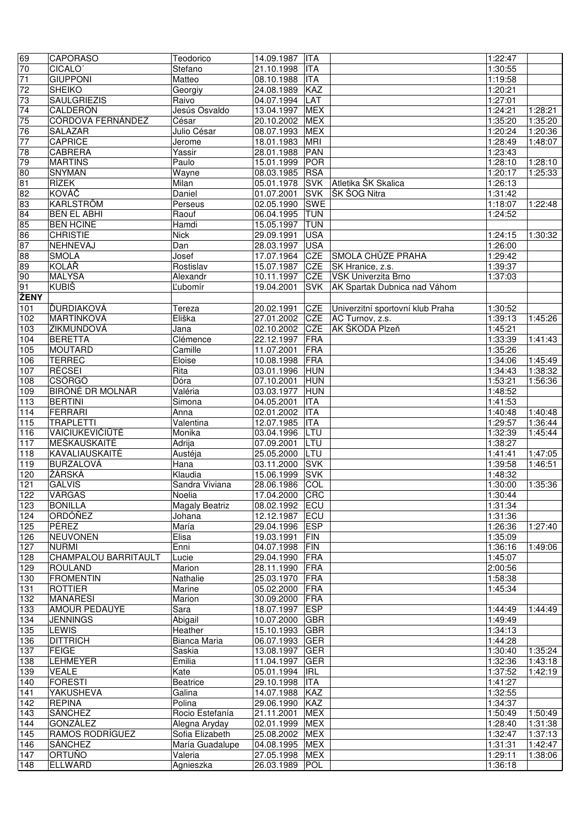| 69               | <b>CAPORASO</b>                 | Teodorico                       | 14.09.1987                       | <b>ITA</b>               |                                  | 1:22:47            |                    |
|------------------|---------------------------------|---------------------------------|----------------------------------|--------------------------|----------------------------------|--------------------|--------------------|
| 70               | CICALO <sup>®</sup>             | Stefano                         | 21.10.1998                       | <b>ITA</b>               |                                  | 1:30:55            |                    |
| 71               | <b>GIUPPONI</b>                 | Matteo                          | 08.10.1988                       | <b>ITA</b>               |                                  | 1:19:58            |                    |
| 72               | <b>SHEIKO</b>                   | Georgiy                         | 24.08.1989                       | KAZ                      |                                  | 1:20:21            |                    |
| 73               | <b>SAULGRIEZIS</b>              | Raivo                           | 04.07.1994                       | LAT                      |                                  | 1:27:01            |                    |
| $\overline{7}4$  | CALDERÓN                        | Jesús Osvaldo                   | 13.04.1997                       | <b>MEX</b>               |                                  | 1:24:21            | 1:28:21            |
| 75               | <b>CÓRDOVA FERNÁNDEZ</b>        | César                           | 20.10.2002                       | <b>MEX</b>               |                                  | 1:35:20            | 1:35:20            |
| 76               | <b>SALAZAR</b>                  | Julio César                     | 08.07.1993                       | <b>MEX</b>               |                                  | 1:20:24            | 1:20:36            |
| 77               | CAPRICE                         | Jerome                          | 18.01.1983                       | <b>MRI</b>               |                                  | 1:28:49            | 1:48:07            |
| 78               | CABRERA                         | Yassir                          | 28.01.1988                       | <b>PAN</b>               |                                  | 1:23:43            |                    |
| 79               | <b>MARTINS</b>                  | Paulo                           | 15.01.1999                       | <b>POR</b>               |                                  | 1:28:10            | 1:28:10            |
| 80               | SNYMAN                          | Wayne                           | 08.03.1985                       | <b>RSA</b>               |                                  | 1:20:17            | 1:25:33            |
| 81               | RÍZEK                           | Milan                           | 05.01.1978                       | <b>SVK</b>               | Atletika ŠK Skalica              | 1:26:13            |                    |
| 82               | KOVÁČ                           | Daniel                          | 01.07.2001                       | <b>SVK</b>               | ∣ŠK ŠOG Nitra                    | 1:31:42            |                    |
| 83               | KARLSTRÖM<br><b>BEN EL ABHI</b> | Perseus                         | 02.05.1990                       | <b>SWE</b><br><b>TUN</b> |                                  | 1:18:07<br>1:24:52 | 1:22:48            |
| 84<br>85         | <b>BEN HCINE</b>                | Raouf<br>Hamdi                  | 06.04.1995<br>15.05.1997         | <b>TUN</b>               |                                  |                    |                    |
| 86               | <b>CHRISTIE</b>                 | <b>Nick</b>                     | 29.09.1991                       | <b>USA</b>               |                                  | 1:24:15            | 1:30:32            |
| 87               | NEHNEVAJ                        | $\overline{Dan}$                | 28.03.1997                       | <b>USA</b>               |                                  | 1:26:00            |                    |
| 88               | <b>SMOLA</b>                    | Josef                           | 17.07.1964                       | <b>CZE</b>               | SMOLA CHŮZE PRAHA                | 1:29:42            |                    |
| 89               | KOLÁŘ                           | Rostislav                       | 15.07.1987                       | <b>CZE</b>               | SK Hranice, z.s.                 | 1:39:37            |                    |
| 90               | <b>MALYSA</b>                   | Alexandr                        | 10.11.1997                       | <b>CZE</b>               | VSK Univerzita Brno              | 1:37:03            |                    |
| 91               | <b>KUBIŠ</b>                    | Lubomír                         | 19.04.2001                       | <b>SVK</b>               | AK Spartak Dubnica nad Váhom     |                    |                    |
| ŽENY             |                                 |                                 |                                  |                          |                                  |                    |                    |
| $\overline{101}$ | ĎURDIAKOVÁ                      | Tereza                          | 20.02.1991                       | CZE                      | Univerzitní sportovní klub Praha | 1:30:52            |                    |
| 102              | MARTÍNKOVÁ                      | Eliška                          | 27.01.2002                       | CZE                      | AC Turnov, z.s.                  | 1:39:13            | 1:45:26            |
| 103              | ZIKMUNDOVÁ                      | Jana                            | 02.10.2002                       | <b>CZE</b>               | AK ŠKODA Plzeň                   | 1:45:21            |                    |
| 104              | <b>BERETTA</b>                  | Clémence                        | 22.12.1997                       | FRA                      |                                  | 1:33:39            | 1:41:43            |
| 105              | MOUTARD                         | Camille                         | 11.07.2001                       | <b>FRA</b>               |                                  | 1:35:26            |                    |
| 106              | <b>TERREC</b>                   | Eloise                          | 10.08.1998                       | <b>FRA</b>               |                                  | 1:34:06            | 1:45:49            |
| 107              | RÉCSEI                          | Rita                            | 03.01.1996                       | <b>HUN</b>               |                                  | 1:34:43            | 1:38:32            |
| 108              | <b>CSÖRGÖ</b>                   | Dóra                            | 07.10.2001                       | <b>HUN</b>               |                                  | 1:53:21            | 1:56:36            |
| 109              | <b>BIRÓNÉ DR MOLNÁR</b>         | Valéria                         | 03.03.1977                       | <b>HUN</b>               |                                  | 1:48:52            |                    |
| 113              | <b>BERTINI</b>                  | Simona                          | 04.05.2001                       | <b>ITA</b>               |                                  | 1:41:53            |                    |
| 114              | <b>FERRARI</b>                  | Anna                            | 02.01.2002                       | <b>ITA</b>               |                                  | 1:40:48            | 1:40:48            |
| $\overline{115}$ | <b>TRAPLETTI</b>                | Valentina                       | 12.07.1985                       | <b>ITA</b>               |                                  | 1:29:57            | 1:36:44            |
| 116              | VAICIUKEVIČIŪTĖ                 | Monika                          | 03.04.1996                       | LTU                      |                                  | 1:32:39            | 1:45:44            |
| 117              | MEŠKAUSKAITÉ                    | Adrija                          | 07.09.2001                       | LTU                      |                                  | 1:38:27            |                    |
| 118              | KAVALIAUSKAITÉ                  | Austéja                         | 25.05.2000                       | LTU                      |                                  | 1:41:41            | 1:47:05            |
| 119              | <b>BURZALOVÁ</b>                | Hana                            | 03.11.2000                       | <b>SVK</b>               |                                  | 1:39:58            | 1:46:51            |
| 120              | ŽÁRSKÁ                          | Klaudia                         | 15.06.1999                       | <b>SVK</b>               |                                  | 1:48:32            |                    |
| 121              | <b>GALVIS</b>                   | Sandra Viviana                  | 28.06.1986                       | COL                      |                                  | 1:30:00            | 1:35:36            |
| 122              | VARGAS                          | Noelia                          | 17.04.2000 CRC<br>08.02.1992 ECU |                          |                                  | 1:30:44            |                    |
| 123<br>124       | <b>BONILLA</b><br>ORDÓŇEZ       | <b>Magaly Beatriz</b><br>Johana | 12.12.1987                       | ECU                      |                                  | 1:31:34<br>1:31:36 |                    |
| 125              | PÉREZ                           | María                           | 29.04.1996 ESP                   |                          |                                  | 1:26:36            | 1:27:40            |
| 126              | <b>NEUVONEN</b>                 | Elisa                           | 19.03.1991                       | <b>FIN</b>               |                                  | 1:35:09            |                    |
| 127              | <b>NURMI</b>                    | Enni                            | 04.07.1998                       | <b>FIN</b>               |                                  | 1:36:16            | 1:49:06            |
| 128              | CHAMPALOU BARRITAULT            | Lucie                           | 29.04.1990                       | FRA                      |                                  | 1:45:07            |                    |
| 129              | <b>ROULAND</b>                  | Marion                          | 28.11.1990                       | FRA                      |                                  | 2:00:56            |                    |
| 130              | <b>FROMENTIN</b>                | Nathalie                        | 25.03.1970                       | <b>FRA</b>               |                                  | 1:58:38            |                    |
| 131              | <b>ROTTIER</b>                  | Marine                          | 05.02.2000                       | <b>FRA</b>               |                                  | 1:45:34            |                    |
| 132              | <b>MANARESI</b>                 | Marion                          | 30.09.2000                       | <b>FRA</b>               |                                  |                    |                    |
| 133              | <b>AMOUR PEDAUYE</b>            | Sara                            | 18.07.1997                       | <b>ESP</b>               |                                  | 1:44:49            | 1:44:49            |
| 134              | <b>JENNINGS</b>                 | Abigail                         | 10.07.2000                       | <b>GBR</b>               |                                  | 1:49:49            |                    |
| 135              | LEWIS                           | Heather                         | 15.10.1993                       | <b>GBR</b>               |                                  | 1:34:13            |                    |
| 136              | <b>DITTRICH</b>                 | Bianca Maria                    | 06.07.1993                       | <b>GER</b>               |                                  | 1:44:28            |                    |
| 137              | <b>FEIGE</b>                    | Saskia                          | 13.08.1997                       | <b>GER</b>               |                                  | 1:30:40            | 1:35:24            |
| 138              | <b>LEHMEYER</b>                 | Emilia                          | 11.04.1997                       | <b>GER</b>               |                                  | 1:32:36            | 1:43:18            |
| 139              | <b>VEALE</b>                    | Kate                            | 05.01.1994                       | <b>IRL</b>               |                                  | 1:37:52            | 1:42:19            |
| 140              | <b>FORESTI</b>                  | Beatrice                        | 29.10.1998                       | <b>ITA</b>               |                                  | 1:41:27            |                    |
| 141              | YAKUSHEVA                       | Galina                          | 14.07.1988                       | <b>KAZ</b>               |                                  | 1:32:55            |                    |
| 142              | <b>REPINA</b>                   | Polina                          | 29.06.1990                       | <b>KAZ</b>               |                                  | 1:34:37            |                    |
| 143              | <b>SÁNCHEZ</b>                  | Rocio Estefanía                 | 21.11.2001                       | <b>MEX</b>               |                                  | 1:50:49            | 1:50:49            |
| 144              | GONZÁLEZ                        | Alegna Aryday                   | 02.01.1999                       | <b>MEX</b>               |                                  | 1:28:40            | 1:31:38            |
| 145              | RAMOS RODRÍGUEZ<br>SÁNCHEZ      | Sofia Elizabeth                 | 25.08.2002                       | <b>MEX</b>               |                                  | 1:32:47            | 1:37:13<br>1:42:47 |
| 146<br>147       | ORTUÑO                          | María Guadalupe<br>Valeria      | 04.08.1995<br>27.05.1998         | <b>MEX</b><br><b>MEX</b> |                                  | 1:31:31<br>1:29:11 | 1:38:06            |
| 148              | ELLWARD                         | Agnieszka                       | 26.03.1989                       | POL                      |                                  | 1:36:18            |                    |
|                  |                                 |                                 |                                  |                          |                                  |                    |                    |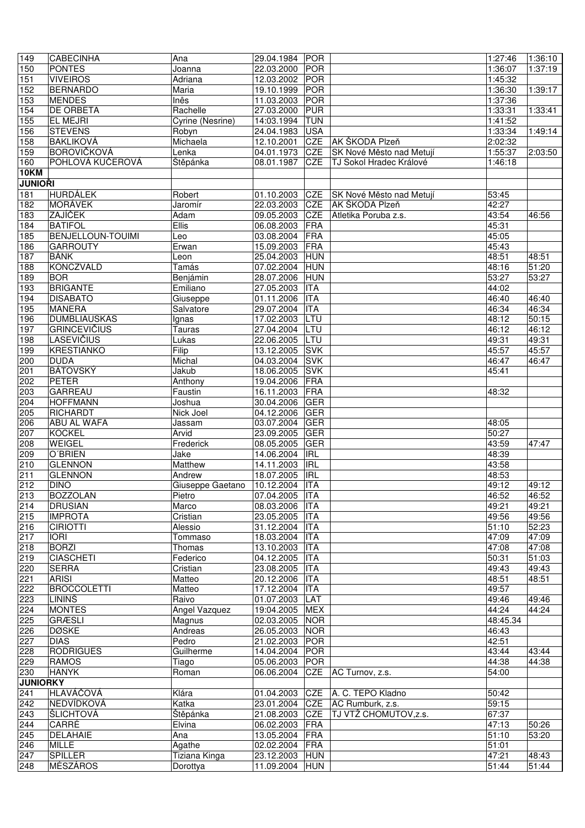| 149              | <b>CABECINHA</b>    | Ana              | 29.04.1984 | <b>POR</b> |                          | 1:27:46  | 1:36:10 |
|------------------|---------------------|------------------|------------|------------|--------------------------|----------|---------|
| 150              | <b>PONTES</b>       | Joanna           | 22.03.2000 | <b>POR</b> |                          | 1:36:07  | 1:37:19 |
| 151              | <b>VIVEIROS</b>     | Adriana          | 12.03.2002 | <b>POR</b> |                          | 1:45:32  |         |
| 152              | <b>BERNARDO</b>     | Maria            | 19.10.1999 | <b>POR</b> |                          | 1:36:30  | 1:39:17 |
| 153              | <b>MENDES</b>       | Inês             | 11.03.2003 | <b>POR</b> |                          | 1:37:36  |         |
| 154              | <b>DE ORBETA</b>    | Rachelle         | 27.03.2000 | <b>PUR</b> |                          | 1:33:31  | 1:33:41 |
| 155              | EL MEJRI            | Cyrine (Nesrine) | 14:03.1994 | <b>TUN</b> |                          | 1:41:52  |         |
| 156              | <b>STEVENS</b>      | Robyn            | 24.04.1983 | <b>USA</b> |                          | 1:33:34  | 1:49:14 |
| 158              | <b>BAKLIKOVÁ</b>    | Michaela         | 12.10.2001 | <b>CZE</b> | AK ŠKODA Plzeň           | 2:02:32  |         |
| 159              | <b>BOROVIČKOVÁ</b>  | Lenka            | 04.01.1973 | <b>CZE</b> | SK Nové Město nad Metují | 1:55:37  | 2:03:50 |
| 160              | POHLOVÁ KUČEROVÁ    | Štěpánka         | 08.01.1987 | <b>CZE</b> | TJ Sokol Hradec Králové  | 1:46:18  |         |
| <b>10KM</b>      |                     |                  |            |            |                          |          |         |
| <b>JUNIOŘI</b>   |                     |                  |            |            |                          |          |         |
| 181              | <b>HURDÁLEK</b>     | Robert           | 01.10.2003 | <b>CZE</b> | SK Nové Město nad Metují | 53:45    |         |
| 182              | <b>MORÁVEK</b>      | Jaromír          | 22.03.2003 | CZE        | AK ŠKODA Plzeň           | 42:27    |         |
| 183              | <b>ZAJÍČEK</b>      | Adam             | 09.05.2003 | <b>CZE</b> | Atletika Poruba z.s.     | 43:54    | 46:56   |
| 184              | <b>BATIFOL</b>      | Ellis            | 06.08.2003 | <b>FRA</b> |                          | 45:31    |         |
| 185              | BENJELLOUN-TOUIMI   | Leo              | 03.08.2004 | <b>FRA</b> |                          | 45:05    |         |
| 186              | <b>GARROUTY</b>     | Erwan            | 15.09.2003 | <b>FRA</b> |                          | 45:43    |         |
| 187              | <b>BÁNK</b>         | Leon             | 25.04.2003 | <b>HUN</b> |                          | 48:51    | 48:51   |
| 188              | <b>KONCZVALD</b>    | Tamás            | 07.02.2004 | <b>HUN</b> |                          | 48:16    | 51:20   |
| 189              | <b>BOR</b>          | Benjámin         | 28.07.2006 | <b>HUN</b> |                          | 53:27    | 53:27   |
| 193              | <b>BRIGANTE</b>     | Emiliano         | 27.05.2003 | <b>ITA</b> |                          | 44:02    |         |
| 194              | <b>DISABATO</b>     | Giuseppe         | 01.11.2006 | <b>ITA</b> |                          | 46:40    | 46:40   |
| 195              | <b>MANERA</b>       | Salvatore        | 29.07.2004 | <b>ITA</b> |                          | 46:34    | 46:34   |
| 196              | <b>DUMBLIAUSKAS</b> | Ignas            | 17.02.2003 | LTU        |                          | 48:12    | 50:15   |
| 197              | <b>GRINCEVIČIUS</b> | <b>Tauras</b>    | 27.04.2004 | LTU        |                          | 46:12    | 46:12   |
| 198              | <b>LASEVIČIUS</b>   | Lukas            | 22.06.2005 | LTU        |                          | 49:31    | 49:31   |
| 199              | <b>KRESTIANKO</b>   | Filip            | 13.12.2005 | <b>SVK</b> |                          | 45:57    | 45:57   |
| 200              | <b>DUDA</b>         | Michal           | 04.03.2004 | <b>SVK</b> |                          | 46:47    | 46:47   |
| 201              | <b>BÁTOVSKÝ</b>     | Jakub            | 18.06.2005 | <b>SVK</b> |                          | 45:41    |         |
| 202              | <b>PETER</b>        | Anthony          | 19.04.2006 | <b>FRA</b> |                          |          |         |
| 203              | <b>GARREAU</b>      | Faustin          | 16.11.2003 | FRA        |                          | 48:32    |         |
| 204              | <b>HOFFMANN</b>     | Joshua           | 30.04.2006 | <b>GER</b> |                          |          |         |
| 205              | RICHARDT            | Nick Joel        | 04.12.2006 | <b>GER</b> |                          |          |         |
| 206              | ABU AL WAFA         | Jassam           | 03.07.2004 | <b>GER</b> |                          | 48:05    |         |
| $\overline{207}$ | <b>KOCKEL</b>       | Arvid            | 23.09.2005 | <b>GER</b> |                          | 50:27    |         |
| 208              | WEIGEL              | Frederick        | 08.05.2005 | <b>GER</b> |                          | 43:59    | 47:47   |
| 209              | O'BRIEN             | Jake             | 14.06.2004 | <b>IRL</b> |                          | 48:39    |         |
| 210              | <b>GLENNON</b>      | Matthew          | 14.11.2003 | <b>IRL</b> |                          | 43:58    |         |
| 211              | <b>GLENNON</b>      | Andrew           | 18.07.2005 | <b>IRL</b> |                          | 48:53    |         |
| 212              | <b>DINO</b>         | Giuseppe Gaetano | 10.12.2004 | <b>ITA</b> |                          | 49:12    | 49:12   |
| 213              | BOZZOLAN            | Pietro           | 07.04.2005 | ITA        |                          | 46:52    | 46:52   |
| 214              | <b>DRUSIAN</b>      | Marco            | 08.03.2006 | <b>ITA</b> |                          | 49:21    | 49:21   |
| 215              | <b>IMPROTA</b>      | Cristian         | 23.05.2005 | <b>ITA</b> |                          | 49:56    | 49:56   |
| 216              | <b>CIRIOTTI</b>     | Alessio          | 31.12.2004 | <b>ITA</b> |                          | 51:10    | 52:23   |
| 217              | <b>IORI</b>         | Tommaso          | 18.03.2004 | <b>ITA</b> |                          | 47:09    | 47:09   |
| 218              | <b>BORZI</b>        | Thomas           | 13.10.2003 | <b>ITA</b> |                          | 47:08    | 47:08   |
| 219              | <b>CIASCHETI</b>    | Federico         | 04.12.2005 | <b>ITA</b> |                          | 50:31    | 51:03   |
| $\overline{220}$ | <b>SERRA</b>        | Cristian         | 23.08.2005 | <b>ITA</b> |                          | 49:43    | 49:43   |
| 221              | <b>ARISI</b>        | Matteo           | 20.12.2006 | <b>ITA</b> |                          | 48:51    | 48:51   |
| 222              | <b>BROCCOLETTI</b>  | Matteo           | 17.12.2004 | ITA        |                          | 49:57    |         |
| 223              | LININŠ              | Raivo            | 01.07.2003 | LAT        |                          | 49:46    | 49:46   |
| 224              | <b>MONTES</b>       | Angel Vazquez    | 19:04.2005 | <b>MEX</b> |                          | 44:24    | 44:24   |
| 225              | <b>GRÆSLI</b>       | Magnus           | 02.03.2005 | <b>NOR</b> |                          | 48:45.34 |         |
| 226              | <b>DØSKE</b>        | Andreas          | 26.05.2003 | <b>NOR</b> |                          | 46:43    |         |
| 227              | <b>DIAS</b>         | Pedro            | 21.02.2003 | <b>POR</b> |                          | 42:51    |         |
| 228              | <b>RODRIGUES</b>    | Guilherme        | 14.04.2004 | <b>POR</b> |                          | 43:44    | 43:44   |
| 229              | <b>RAMOS</b>        | Tiago            | 05.06.2003 | <b>POR</b> |                          | 44:38    | 44:38   |
| 230              | <b>HANYK</b>        | Roman            | 06.06.2004 | <b>CZE</b> | AC Turnov, z.s.          | 54:00    |         |
| <b>JUNIORKY</b>  |                     |                  |            |            |                          |          |         |
| $\overline{241}$ | HLAVÁČOVÁ           | Klára            | 01.04.2003 | CZE        | A. C. TEPO Kladno        | 50:42    |         |
| 242              | NEDVÍDKOVÁ          | Katka            | 23.01.2004 | <b>CZE</b> | AC Rumburk, z.s.         | 59:15    |         |
| 243              | <b>SLICHTOVÁ</b>    | Štěpánka         | 21.08.2003 | <b>CZE</b> | TJ VTŽ CHOMUTOV, z.s.    | 67:37    |         |
| 244              | CARRÉ               | Elvina           | 06.02.2003 | <b>FRA</b> |                          | 47:13    | 50:26   |
| 245              | <b>DELAHAIE</b>     | Ana              | 13.05.2004 | <b>FRA</b> |                          | 51:10    | 53:20   |
| 246              | <b>MILLE</b>        | Agathe           | 02.02.2004 | FRA        |                          | 51:01    |         |
| 247              | <b>SPILLER</b>      | Tiziana Kinga    | 23.12.2003 | <b>HUN</b> |                          | 47:21    | 48:43   |
| 248              | MÉSZÁROS            | Dorottya         | 11.09.2004 | HUN        |                          | 51:44    | 51:44   |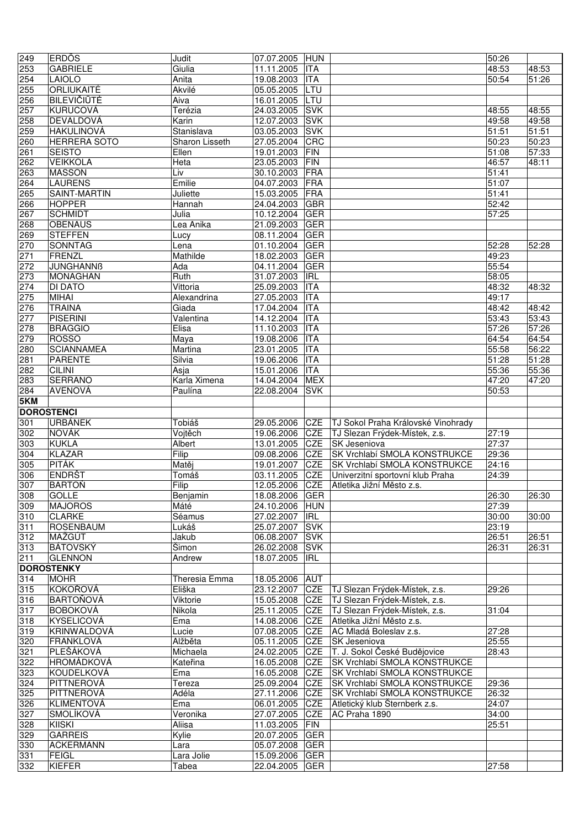| 249              | <b>ERDÖS</b>        | Judit          | 07.07.2005 HUN |            |                                    | $\overline{50:}26$ |       |
|------------------|---------------------|----------------|----------------|------------|------------------------------------|--------------------|-------|
| 253              | <b>GABRIELE</b>     | Giulia         | 11.11.2005     | <b>ITA</b> |                                    | 48:53              | 48:53 |
| 254              | <b>LAIOLO</b>       | Anita          | 19.08.2003     | <b>ITA</b> |                                    | 50:54              | 51:26 |
| 255              | <b>ORLIUKAITÉ</b>   | Akvilé         | 05.05.2005     | LTU        |                                    |                    |       |
| 256              | <b>BILEVIČIŪTĖ</b>  | Aiva           | 16.01.2005     | LTU        |                                    |                    |       |
| 257              | <b>KURUCOVÁ</b>     | Terézia        | 24.03.2005     | <b>SVK</b> |                                    | 48:55              | 48:55 |
| 258              | DEVALDOVÁ           | Karin          | 12.07.2003     | <b>SVK</b> |                                    | 49:58              | 49:58 |
| 259              | HAKULINOVÁ          | Stanislava     | 03.05.2003     | <b>SVK</b> |                                    | $\overline{5}1:51$ | 51:51 |
|                  |                     |                |                |            |                                    |                    |       |
| 260              | <b>HERRERA SOTO</b> | Sharon Lisseth | 27.05.2004     | CRC        |                                    | $\overline{50:}23$ | 50:23 |
| 261              | <b>SEISTO</b>       | Ellen          | 19.01.2003     | <b>FIN</b> |                                    | 51:08              | 57:33 |
| 262              | <b>VEIKKOLA</b>     | Heta           | 23.05.2003     | <b>FIN</b> |                                    | 46:57              | 48:11 |
| 263              | <b>MASSON</b>       | Liv            | 30.10.2003     | <b>FRA</b> |                                    | $\overline{5}1:41$ |       |
| 264              | <b>LAURENS</b>      | Emilie         | 04.07.2003     | <b>FRA</b> |                                    | 51:07              |       |
| 265              | SAINT-MARTIN        | Juliette       | 15.03.2005     | <b>FRA</b> |                                    | 51:41              |       |
| 266              | <b>HOPPER</b>       | Hannah         | 24.04.2003     | <b>GBR</b> |                                    | 52:42              |       |
| 267              | <b>SCHMIDT</b>      | Julia          | 10.12.2004     | GER        |                                    | 57:25              |       |
| 268              | <b>OBENAUS</b>      | Lea Anika      | 21.09.2003     | <b>GER</b> |                                    |                    |       |
| $\overline{269}$ | <b>STEFFEN</b>      | Lucy           | 08.11.2004     | <b>GER</b> |                                    |                    |       |
| 270              | SONNTAG             | Lena           | 01.10.2004     | <b>GER</b> |                                    | 52:28              | 52:28 |
| 271              | FRENZL              | Mathilde       | 18.02.2003     | GER        |                                    | 49:23              |       |
| $\overline{272}$ | <b>JUNGHANNB</b>    | Ada            | 04.11.2004     | <b>GER</b> |                                    | 55:54              |       |
| 273              | MONAGHAN            | Ruth           | 31.07.2003     | <b>IRL</b> |                                    | 58:05              |       |
| 274              | DI DATO             | Vittoria       | 25.09.2003     | <b>ITA</b> |                                    | 48:32              | 48:32 |
| 275              | <b>MIHAI</b>        | Alexandrina    | 27.05.2003     | <b>ITA</b> |                                    | 49:17              |       |
| $\overline{276}$ | <b>TRAINA</b>       | Giada          | 17.04.2004     | <b>ITA</b> |                                    | 48:42              | 48:42 |
|                  | <b>PISERINI</b>     | Valentina      | 14.12.2004     | <b>ITA</b> |                                    | 53:43              | 53:43 |
| 277              |                     |                |                |            |                                    |                    |       |
| 278              | <b>BRAGGIO</b>      | Elisa          | 11.10.2003     | <b>ITA</b> |                                    | 57:26              | 57:26 |
| 279              | <b>ROSSO</b>        | Maya           | 19.08.2006     | <b>ITA</b> |                                    | 64:54              | 64:54 |
| 280              | <b>SCIANNAMEA</b>   | Martina        | 23.01.2005     | <b>ITA</b> |                                    | 55:58              | 56:22 |
| 281              | <b>PARENTE</b>      | Silvia         | 19.06.2006     | <b>ITA</b> |                                    | $\overline{5}1:28$ | 51:28 |
| 282              | <b>CILINI</b>       | Asja           | 15.01.2006     | <b>ITA</b> |                                    | 55:36              | 55:36 |
| 283              | SERRANO             | Karla Ximena   | 14.04.2004     | <b>MEX</b> |                                    | 47:20              | 47:20 |
| 284              | <b>AVENOVÁ</b>      | Paulína        | 22.08.2004     | <b>SVK</b> |                                    | $\overline{50:}53$ |       |
| 5KM              |                     |                |                |            |                                    |                    |       |
|                  | <b>DOROSTENCI</b>   |                |                |            |                                    |                    |       |
| 301              | <b>URBÁNEK</b>      | Tobiáš         | 29.05.2006     | <b>CZE</b> | TJ Sokol Praha Královské Vinohrady |                    |       |
| 302              | NOVÁK               | Vojtěch        | 19.06.2006     | <b>CZE</b> | TJ Slezan Frýdek-Místek, z.s.      | 27:19              |       |
| 303              | <b>KUKLA</b>        | Albert         | 13.01.2005     | <b>CZE</b> | <b>SK</b> Jeseniova                | 27:37              |       |
| 304              | <b>KLAZAR</b>       | Filip          | 09.08.2006     | <b>CZE</b> | SK Vrchlabí SMOLA KONSTRUKCE       | 29:36              |       |
| 305              | <b>PITÁK</b>        | Matěj          | 19.01.2007     | CZE        | SK Vrchlabí SMOLA KONSTRUKCE       | 24:16              |       |
| 306              | <b>ENDRŠT</b>       | Tomáš          | 03.11.2005     | CZE        | Univerzitní sportovní klub Praha   | 24:39              |       |
| 307              | <b>BARTOŇ</b>       | Filip          | 12.05.2006     | <b>CZE</b> | Atletika Jižní Město z.s.          |                    |       |
| 308              | <b>GOLLE</b>        | Benjamin       | 18.08.2006 GER |            |                                    | 26:30              | 26:30 |
| 309              | <b>MAJOROS</b>      | Máté           | 24.10.2006     | <b>HUN</b> |                                    | 27:39              |       |
| 310              | <b>CLARKE</b>       | Séamus         | 27.02.2007     | <b>IRL</b> |                                    | 30:00              | 30:00 |
| 311              | <b>ROSENBAUM</b>    | Lukáš          | 25.07.2007     | <b>SVK</b> |                                    | 23:19              |       |
| 312              | MAŽGÚT              | Jakub          | 06.08.2007     | <b>SVK</b> |                                    | 26:51              | 26:51 |
| 313              | BÁTOVSKÝ            | <b>Šimon</b>   | 26.02.2008     | <b>SVK</b> |                                    | 26:31              | 26:31 |
| 211              | <b>GLENNON</b>      | Andrew         | 18.07.2005     | <b>IRL</b> |                                    |                    |       |
|                  | <b>DOROSTENKY</b>   |                |                |            |                                    |                    |       |
|                  |                     |                |                |            |                                    |                    |       |
| 314              | <b>MOHR</b>         | Theresia Emma  | 18.05.2006     | <b>AUT</b> |                                    |                    |       |
| 315              | <b>KOKOŘOVÁ</b>     | Eliška         | 23.12.2007     | CZE        | TJ Slezan Frýdek-Místek, z.s.      | 29:26              |       |
| 316              | <b>BARTOŇOVÁ</b>    | Viktorie       | 15.05.2008     | CZE        | TJ Slezan Frýdek-Místek, z.s.      |                    |       |
| 317              | <b>BOBOKOVÁ</b>     | Nikola         | 25.11.2005     | CZE        | TJ Slezan Frýdek-Místek, z.s.      | 31:04              |       |
| 318              | <b>KYSELICOVÁ</b>   | Ema            | 14.08.2006     | CZE        | Atletika Jižní Město z.s.          |                    |       |
| 319              | KRINWALDOVÁ         | Lucie          | 07.08.2005     | CZE        | AC Mladá Boleslav z.s.             | 27:28              |       |
| 320              | <b>FRANKLOVÁ</b>    | Alžběta        | 05.11.2005     | CZE        | <b>SK Jeseniova</b>                | 25:55              |       |
| 321              | PLEŠÁKOVÁ           | Michaela       | 24.02.2005     | CZE        | T. J. Sokol České Budějovice       | 28:43              |       |
| 322              | <b>HROMÁDKOVÁ</b>   | Kateřina       | 16.05.2008     | CZE        | SK Vrchlabí SMOLA KONSTRUKCE       |                    |       |
| 323              | <b>KOUDELKOVA</b>   | Ema            | 16.05.2008     | CZE        | SK Vrchlabí SMOLA KONSTRUKCE       |                    |       |
| 324              | PITTNEROVÁ          | Tereza         | 25.09.2004     | CZE        | SK Vrchlabí SMOLA KONSTRUKCE       | 29:36              |       |
| 325              | PITTNEROVÁ          | Adéla          | 27.11.2006     | CZE        | SK Vrchlabí SMOLA KONSTRUKCE       | 26:32              |       |
| 326              | KLIMENTOVÁ          | Ema            | 06.01.2005     | CZE        | Atletický klub Šternberk z.s.      | 24:07              |       |
| 327              | SMOLÍKOVÁ           | Veronika       | 27.07.2005     | <b>CZE</b> | AC Praha 1890                      | 34:00              |       |
| 328              | <b>KIISKI</b>       | Aliisa         | 11.03.2005     | FIN        |                                    | 25:51              |       |
| 329              | <b>GARREIS</b>      | Kylie          | 20.07.2005     | <b>GER</b> |                                    |                    |       |
| 330              | <b>ACKERMANN</b>    | Lara           | 05.07.2008     | GER        |                                    |                    |       |
| 331              | <b>FEIGL</b>        | Lara Jolie     | 15.09.2006     | <b>GER</b> |                                    |                    |       |
|                  |                     |                |                |            |                                    |                    |       |
| 332              | KIEFER              | Tabea          | 22.04.2005     | <b>GER</b> |                                    | 27:58              |       |